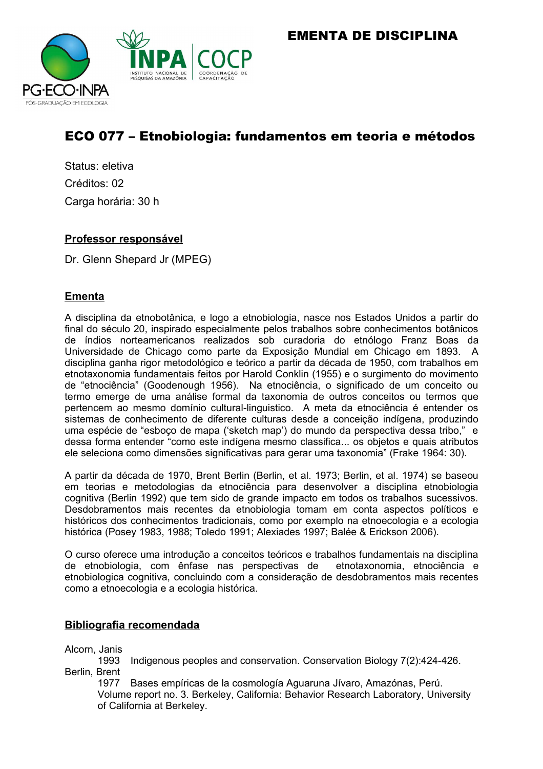EMENTA DE DISCIPLINA



# ECO 077 – Etnobiologia: fundamentos em teoria e métodos

Status: eletiva Créditos: 02 Carga horária: 30 h

# **Professor responsável**

Dr. Glenn Shepard Jr (MPEG)

# **Ementa**

A disciplina da etnobotânica, e logo a etnobiologia, nasce nos Estados Unidos a partir do final do século 20, inspirado especialmente pelos trabalhos sobre conhecimentos botânicos de índios norteamericanos realizados sob curadoria do etnólogo Franz Boas da Universidade de Chicago como parte da Exposição Mundial em Chicago em 1893. A disciplina ganha rigor metodológico e teórico a partir da década de 1950, com trabalhos em etnotaxonomia fundamentais feitos por Harold Conklin (1955) e o surgimento do movimento de "etnociência" (Goodenough 1956). Na etnociência, o significado de um conceito ou termo emerge de uma análise formal da taxonomia de outros conceitos ou termos que pertencem ao mesmo domínio cultural-linguistico. A meta da etnociência é entender os sistemas de conhecimento de diferente culturas desde a conceição indígena, produzindo uma espécie de "esboço de mapa ('sketch map') do mundo da perspectiva dessa tribo," e dessa forma entender "como este indígena mesmo classifica... os objetos e quais atributos ele seleciona como dimensões significativas para gerar uma taxonomia" (Frake 1964: 30).

A partir da década de 1970, Brent Berlin (Berlin, et al. 1973; Berlin, et al. 1974) se baseou em teorias e metodologias da etnociência para desenvolver a disciplina etnobiologia cognitiva (Berlin 1992) que tem sido de grande impacto em todos os trabalhos sucessivos. Desdobramentos mais recentes da etnobiologia tomam em conta aspectos políticos e históricos dos conhecimentos tradicionais, como por exemplo na etnoecologia e a ecologia histórica (Posey 1983, 1988; Toledo 1991; Alexiades 1997; Balée & Erickson 2006).

O curso oferece uma introdução a conceitos teóricos e trabalhos fundamentais na disciplina de etnobiologia, com ênfase nas perspectivas de etnotaxonomia, etnociência e etnobiologica cognitiva, concluindo com a consideração de desdobramentos mais recentes como a etnoecologia e a ecologia histórica.

## **Bibliografia recomendada**

Alcorn, Janis

1993 Indigenous peoples and conservation. Conservation Biology 7(2):424-426. Berlin, Brent

1977 Bases empíricas de la cosmología Aguaruna Jívaro, Amazónas, Perú. Volume report no. 3. Berkeley, California: Behavior Research Laboratory, University of California at Berkeley.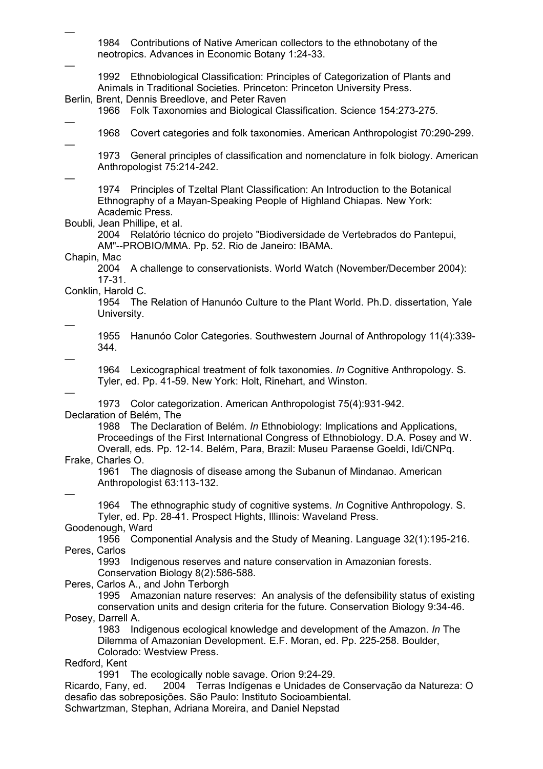1984 Contributions of Native American collectors to the ethnobotany of the neotropics. Advances in Economic Botany 1:24-33.

1992 Ethnobiological Classification: Principles of Categorization of Plants and Animals in Traditional Societies. Princeton: Princeton University Press.

Berlin, Brent, Dennis Breedlove, and Peter Raven

1966 Folk Taxonomies and Biological Classification. Science 154:273-275.

— —

—

—

1968 Covert categories and folk taxonomies. American Anthropologist 70:290-299.

1973 General principles of classification and nomenclature in folk biology. American Anthropologist 75:214-242.

—

1974 Principles of Tzeltal Plant Classification: An Introduction to the Botanical Ethnography of a Mayan-Speaking People of Highland Chiapas. New York: Academic Press.

Boubli, Jean Phillipe, et al.

2004 Relatório técnico do projeto "Biodiversidade de Vertebrados do Pantepui, AM"--PROBIO/MMA. Pp. 52. Rio de Janeiro: IBAMA.

#### Chapin, Mac

2004 A challenge to conservationists. World Watch (November/December 2004): 17-31.

Conklin, Harold C.

1954 The Relation of Hanunóo Culture to the Plant World. Ph.D. dissertation, Yale University.

—

1955 Hanunóo Color Categories. Southwestern Journal of Anthropology 11(4):339- 344.

—

1964 Lexicographical treatment of folk taxonomies. *In* Cognitive Anthropology. S. Tyler, ed. Pp. 41-59. New York: Holt, Rinehart, and Winston.

—

1973 Color categorization. American Anthropologist 75(4):931-942. Declaration of Belém, The

1988 The Declaration of Belém. *In* Ethnobiology: Implications and Applications, Proceedings of the First International Congress of Ethnobiology. D.A. Posey and W. Overall, eds. Pp. 12-14. Belém, Para, Brazil: Museu Paraense Goeldi, Idi/CNPq.

## Frake, Charles O.

1961 The diagnosis of disease among the Subanun of Mindanao. American Anthropologist 63:113-132.

—

1964 The ethnographic study of cognitive systems. *In* Cognitive Anthropology. S. Tyler, ed. Pp. 28-41. Prospect Hights, Illinois: Waveland Press.

## Goodenough, Ward

1956 Componential Analysis and the Study of Meaning. Language 32(1):195-216. Peres, Carlos

1993 Indigenous reserves and nature conservation in Amazonian forests. Conservation Biology 8(2):586-588.

Peres, Carlos A., and John Terborgh

1995 Amazonian nature reserves: An analysis of the defensibility status of existing conservation units and design criteria for the future. Conservation Biology 9:34-46.

Posey, Darrell A.

1983 Indigenous ecological knowledge and development of the Amazon. *In* The Dilemma of Amazonian Development. E.F. Moran, ed. Pp. 225-258. Boulder, Colorado: Westview Press.

## Redford, Kent

1991 The ecologically noble savage. Orion 9:24-29.

Ricardo, Fany, ed. 2004 Terras Indígenas e Unidades de Conservação da Natureza: O desafio das sobreposições. São Paulo: Instituto Socioambiental.

Schwartzman, Stephan, Adriana Moreira, and Daniel Nepstad